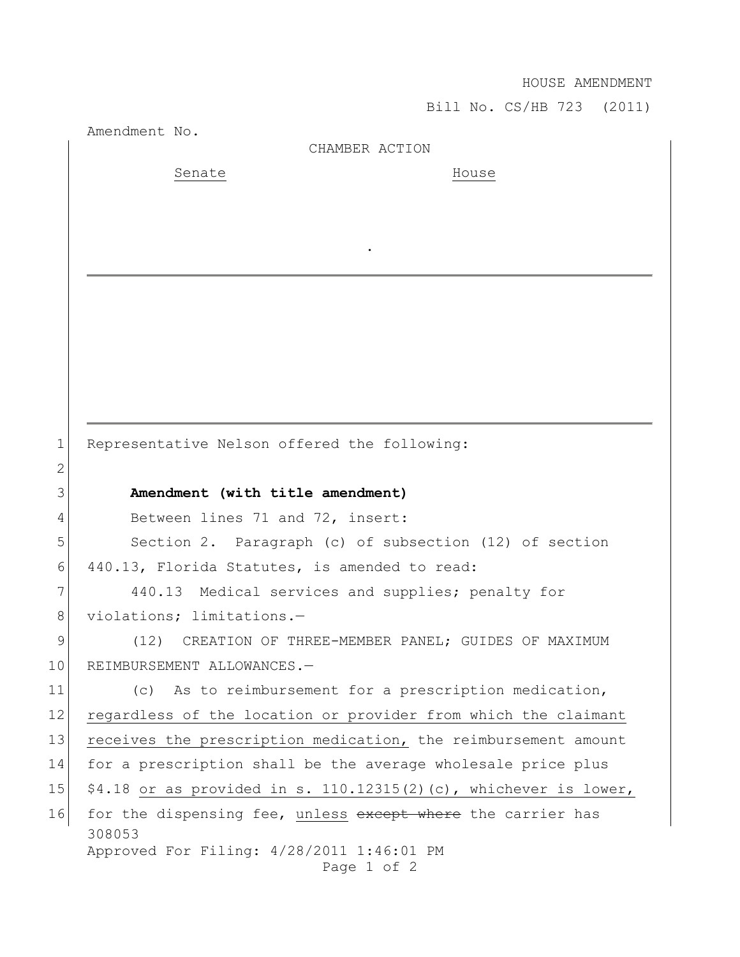## HOUSE AMENDMENT

Bill No. CS/HB 723 (2011)

Amendment No. 308053 Approved For Filing: 4/28/2011 1:46:01 PM Page 1 of 2 CHAMBER ACTION Senate House . 1 Representative Nelson offered the following: 2 3 **Amendment (with title amendment)** 4 Between lines 71 and 72, insert: 5 Section 2. Paragraph (c) of subsection (12) of section 6 440.13, Florida Statutes, is amended to read: 7 440.13 Medical services and supplies; penalty for 8 violations; limitations.-9 (12) CREATION OF THREE-MEMBER PANEL; GUIDES OF MAXIMUM 10 REIMBURSEMENT ALLOWANCES.-11 (c) As to reimbursement for a prescription medication, 12 regardless of the location or provider from which the claimant 13 receives the prescription medication, the reimbursement amount 14 for a prescription shall be the average wholesale price plus 15  $\mid$  \$4.18 or as provided in s. 110.12315(2)(c), whichever is lower, 16 for the dispensing fee, unless except where the carrier has